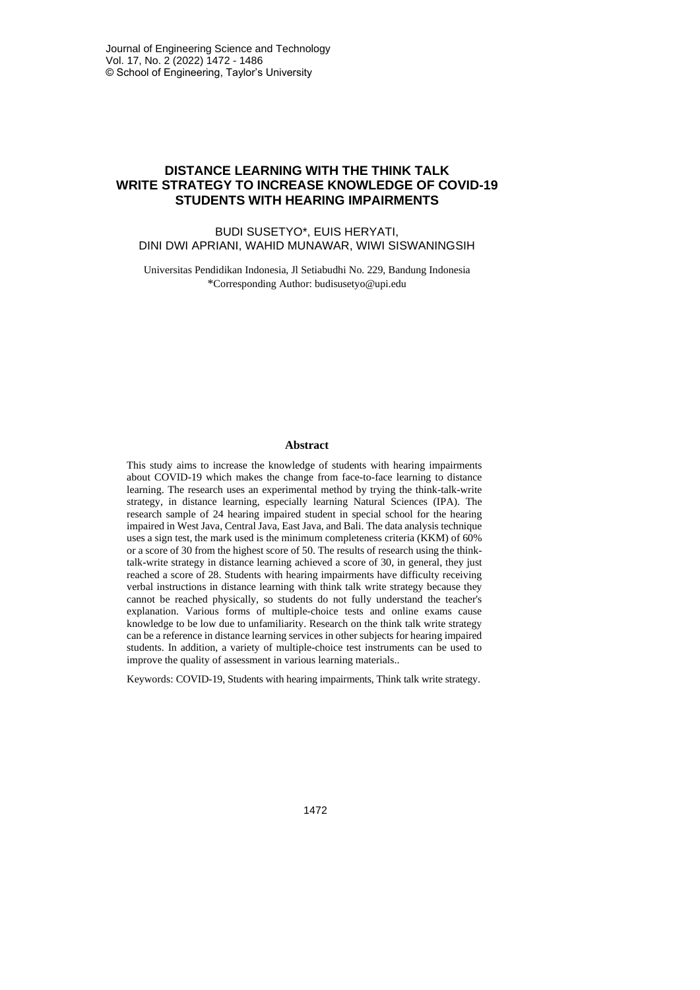# **DISTANCE LEARNING WITH THE THINK TALK WRITE STRATEGY TO INCREASE KNOWLEDGE OF COVID-19 STUDENTS WITH HEARING IMPAIRMENTS**

## BUDI SUSETYO\*, EUIS HERYATI, DINI DWI APRIANI, WAHID MUNAWAR, WIWI SISWANINGSIH

Universitas Pendidikan Indonesia, Jl Setiabudhi No. 229, Bandung Indonesia \*Corresponding Author: budisusetyo@upi.edu

#### **Abstract**

This study aims to increase the knowledge of students with hearing impairments about COVID-19 which makes the change from face-to-face learning to distance learning. The research uses an experimental method by trying the think-talk-write strategy, in distance learning, especially learning Natural Sciences (IPA). The research sample of 24 hearing impaired student in special school for the hearing impaired in West Java, Central Java, East Java, and Bali. The data analysis technique uses a sign test, the mark used is the minimum completeness criteria (KKM) of 60% or a score of 30 from the highest score of 50. The results of research using the thinktalk-write strategy in distance learning achieved a score of 30, in general, they just reached a score of 28. Students with hearing impairments have difficulty receiving verbal instructions in distance learning with think talk write strategy because they cannot be reached physically, so students do not fully understand the teacher's explanation. Various forms of multiple-choice tests and online exams cause knowledge to be low due to unfamiliarity. Research on the think talk write strategy can be a reference in distance learning services in other subjects for hearing impaired students. In addition, a variety of multiple-choice test instruments can be used to improve the quality of assessment in various learning materials..

Keywords: COVID-19, Students with hearing impairments, Think talk write strategy.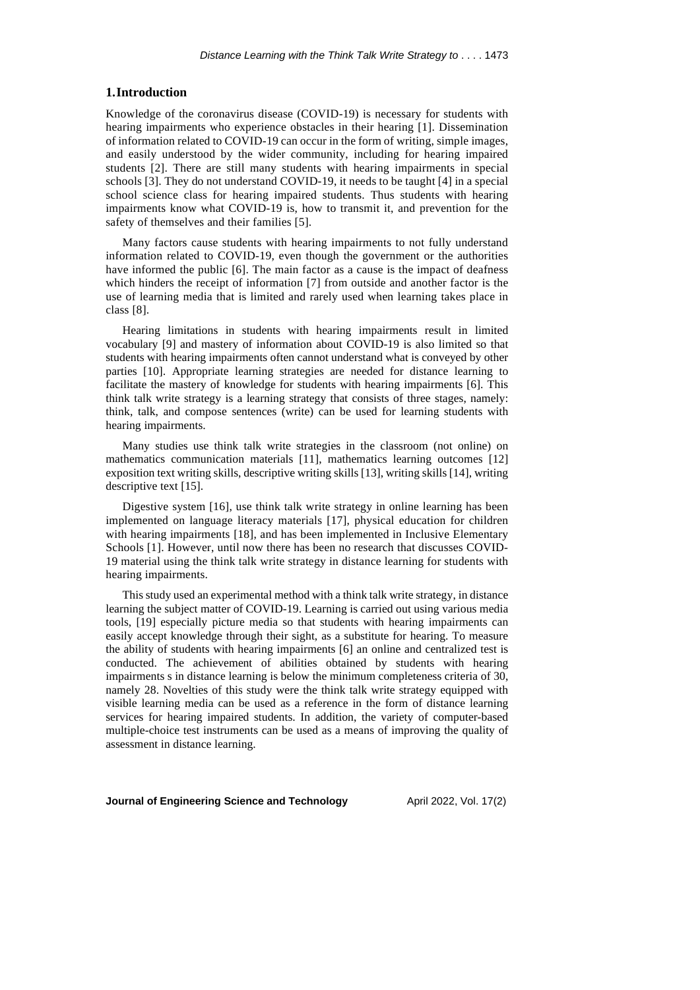## **1.Introduction**

Knowledge of the coronavirus disease (COVID-19) is necessary for students with hearing impairments who experience obstacles in their hearing [1]. Dissemination of information related to COVID-19 can occur in the form of writing, simple images, and easily understood by the wider community, including for hearing impaired students [2]. There are still many students with hearing impairments in special schools [3]. They do not understand COVID-19, it needs to be taught [4] in a special school science class for hearing impaired students. Thus students with hearing impairments know what COVID-19 is, how to transmit it, and prevention for the safety of themselves and their families [5].

Many factors cause students with hearing impairments to not fully understand information related to COVID-19, even though the government or the authorities have informed the public [6]. The main factor as a cause is the impact of deafness which hinders the receipt of information [7] from outside and another factor is the use of learning media that is limited and rarely used when learning takes place in class [8].

Hearing limitations in students with hearing impairments result in limited vocabulary [9] and mastery of information about COVID-19 is also limited so that students with hearing impairments often cannot understand what is conveyed by other parties [10]. Appropriate learning strategies are needed for distance learning to facilitate the mastery of knowledge for students with hearing impairments [6]. This think talk write strategy is a learning strategy that consists of three stages, namely: think, talk, and compose sentences (write) can be used for learning students with hearing impairments.

Many studies use think talk write strategies in the classroom (not online) on mathematics communication materials [11], mathematics learning outcomes [12] exposition text writing skills, descriptive writing skills [13], writing skills [14], writing descriptive text [15].

Digestive system [16], use think talk write strategy in online learning has been implemented on language literacy materials [17], physical education for children with hearing impairments [18], and has been implemented in Inclusive Elementary Schools [1]. However, until now there has been no research that discusses COVID-19 material using the think talk write strategy in distance learning for students with hearing impairments.

This study used an experimental method with a think talk write strategy, in distance learning the subject matter of COVID-19. Learning is carried out using various media tools, [19] especially picture media so that students with hearing impairments can easily accept knowledge through their sight, as a substitute for hearing. To measure the ability of students with hearing impairments [6] an online and centralized test is conducted. The achievement of abilities obtained by students with hearing impairments s in distance learning is below the minimum completeness criteria of 30, namely 28. Novelties of this study were the think talk write strategy equipped with visible learning media can be used as a reference in the form of distance learning services for hearing impaired students. In addition, the variety of computer-based multiple-choice test instruments can be used as a means of improving the quality of assessment in distance learning.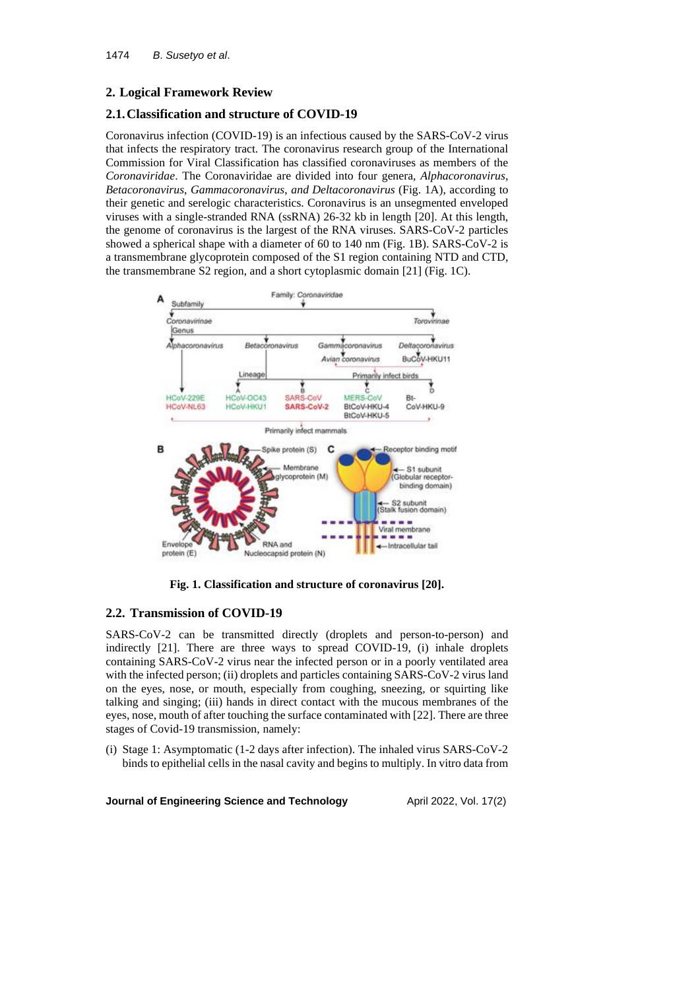# **2. Logical Framework Review**

# **2.1.Classification and structure of COVID-19**

Coronavirus infection (COVID-19) is an infectious caused by the SARS-CoV-2 virus that infects the respiratory tract. The coronavirus research group of the International Commission for Viral Classification has classified coronaviruses as members of the *Coronaviridae*. The Coronaviridae are divided into four genera, *Alphacoronavirus*, *Betacoronavirus*, *Gammacoronavirus*, *and Deltacoronavirus* (Fig. 1A), according to their genetic and serelogic characteristics. Coronavirus is an unsegmented enveloped viruses with a single-stranded RNA (ssRNA) 26-32 kb in length [20]. At this length, the genome of coronavirus is the largest of the RNA viruses. SARS-CoV-2 particles showed a spherical shape with a diameter of 60 to 140 nm (Fig. 1B). SARS-CoV-2 is a transmembrane glycoprotein composed of the S1 region containing NTD and CTD, the transmembrane S2 region, and a short cytoplasmic domain [21] (Fig. 1C).



**Fig. 1. Classification and structure of coronavirus [20].**

## **2.2. Transmission of COVID-19**

SARS-CoV-2 can be transmitted directly (droplets and person-to-person) and indirectly [21]. There are three ways to spread COVID-19, (i) inhale droplets containing SARS-CoV-2 virus near the infected person or in a poorly ventilated area with the infected person; (ii) droplets and particles containing SARS-CoV-2 virus land on the eyes, nose, or mouth, especially from coughing, sneezing, or squirting like talking and singing; (iii) hands in direct contact with the mucous membranes of the eyes, nose, mouth of after touching the surface contaminated with [22]. There are three stages of Covid-19 transmission, namely:

(i) Stage 1: Asymptomatic (1-2 days after infection). The inhaled virus SARS-CoV-2 binds to epithelial cells in the nasal cavity and begins to multiply. In vitro data from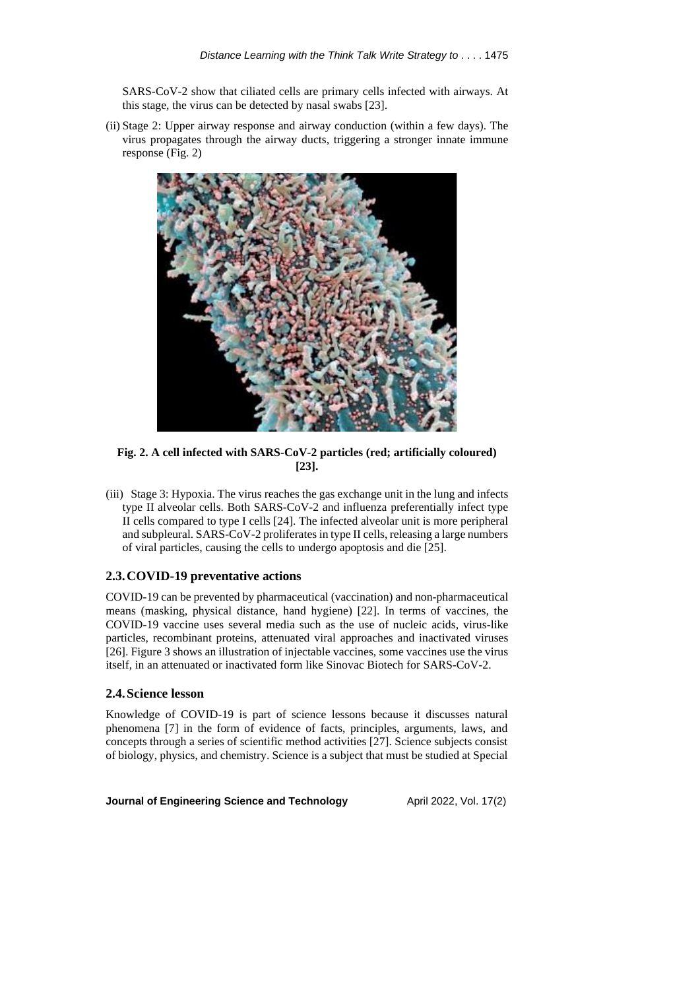SARS-CoV-2 show that ciliated cells are primary cells infected with airways. At this stage, the virus can be detected by nasal swabs [23].

(ii) Stage 2: Upper airway response and airway conduction (within a few days). The virus propagates through the airway ducts, triggering a stronger innate immune response (Fig. 2)



**Fig. 2. A cell infected with SARS-CoV-2 particles (red; artificially coloured) [23].**

(iii) Stage 3: Hypoxia. The virus reaches the gas exchange unit in the lung and infects type II alveolar cells. Both SARS-CoV-2 and influenza preferentially infect type II cells compared to type I cells [24]. The infected alveolar unit is more peripheral and subpleural. SARS-CoV-2 proliferates in type II cells, releasing a large numbers of viral particles, causing the cells to undergo apoptosis and die [25].

# **2.3.COVID-19 preventative actions**

COVID-19 can be prevented by pharmaceutical (vaccination) and non-pharmaceutical means (masking, physical distance, hand hygiene) [22]. In terms of vaccines, the COVID-19 vaccine uses several media such as the use of nucleic acids, virus-like particles, recombinant proteins, attenuated viral approaches and inactivated viruses [26]. Figure 3 shows an illustration of injectable vaccines, some vaccines use the virus itself, in an attenuated or inactivated form like Sinovac Biotech for SARS-CoV-2.

## **2.4.Science lesson**

Knowledge of COVID-19 is part of science lessons because it discusses natural phenomena [7] in the form of evidence of facts, principles, arguments, laws, and concepts through a series of scientific method activities [27]. Science subjects consist of biology, physics, and chemistry. Science is a subject that must be studied at Special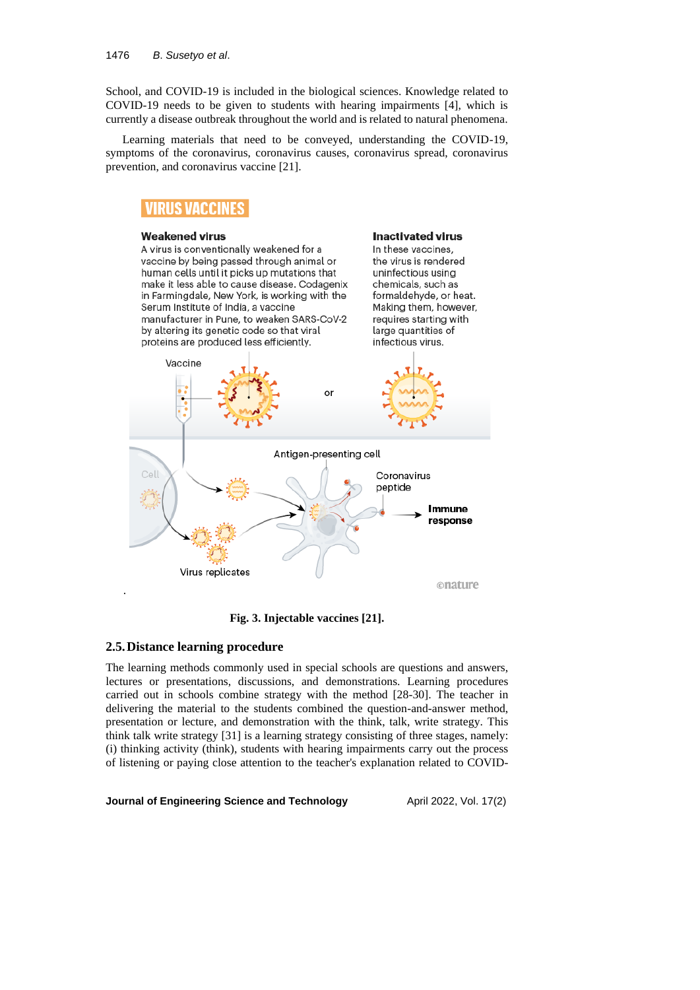School, and COVID-19 is included in the biological sciences. Knowledge related to COVID-19 needs to be given to students with hearing impairments [4], which is currently a disease outbreak throughout the world and is related to natural phenomena.

Learning materials that need to be conveyed, understanding the COVID-19, symptoms of the coronavirus, coronavirus causes, coronavirus spread, coronavirus prevention, and coronavirus vaccine [21].

# **VIRUS VACCINES**

#### **Weakened virus**

A virus is conventionally weakened for a vaccine by being passed through animal or human cells until it picks up mutations that make it less able to cause disease. Codagenix in Farmingdale, New York, is working with the Serum Institute of India, a vaccine manufacturer in Pune, to weaken SARS-CoV-2 by altering its genetic code so that viral proteins are produced less efficiently.

#### **Inactivated virus**

In these vaccines, the virus is rendered uninfectious using chemicals, such as formaldehyde, or heat. Making them, however, requires starting with large quantities of infectious virus.



**Fig. 3. Injectable vaccines [21].**

## **2.5.Distance learning procedure**

The learning methods commonly used in special schools are questions and answers, lectures or presentations, discussions, and demonstrations. Learning procedures carried out in schools combine strategy with the method [28-30]. The teacher in delivering the material to the students combined the question-and-answer method, presentation or lecture, and demonstration with the think, talk, write strategy. This think talk write strategy [31] is a learning strategy consisting of three stages, namely: (i) thinking activity (think), students with hearing impairments carry out the process of listening or paying close attention to the teacher's explanation related to COVID-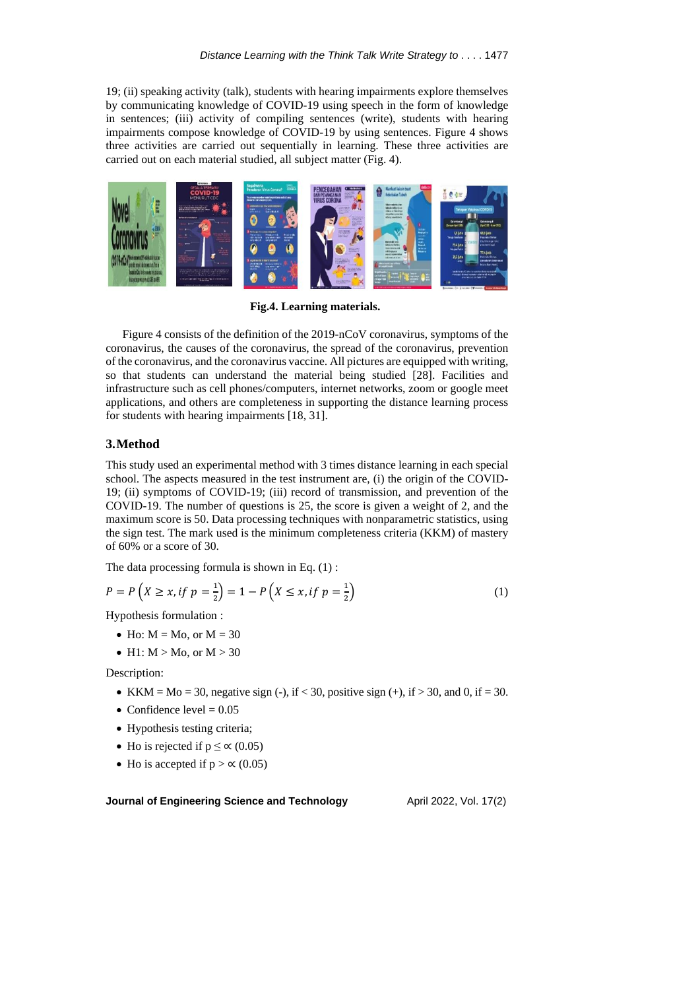19; (ii) speaking activity (talk), students with hearing impairments explore themselves by communicating knowledge of COVID-19 using speech in the form of knowledge in sentences; (iii) activity of compiling sentences (write), students with hearing impairments compose knowledge of COVID-19 by using sentences. Figure 4 shows three activities are carried out sequentially in learning. These three activities are carried out on each material studied, all subject matter (Fig. 4).



**Fig.4. Learning materials.**

Figure 4 consists of the definition of the 2019-nCoV coronavirus, symptoms of the coronavirus, the causes of the coronavirus, the spread of the coronavirus, prevention of the coronavirus, and the coronavirus vaccine. All pictures are equipped with writing, so that students can understand the material being studied [28]. Facilities and infrastructure such as cell phones/computers, internet networks, zoom or google meet applications, and others are completeness in supporting the distance learning process for students with hearing impairments [18, 31].

## **3.Method**

This study used an experimental method with 3 times distance learning in each special school. The aspects measured in the test instrument are, (i) the origin of the COVID-19; (ii) symptoms of COVID-19; (iii) record of transmission, and prevention of the COVID-19. The number of questions is 25, the score is given a weight of 2, and the maximum score is 50. Data processing techniques with nonparametric statistics, using the sign test. The mark used is the minimum completeness criteria (KKM) of mastery of 60% or a score of 30.

The data processing formula is shown in Eq.  $(1)$ :

$$
P = P\left(X \ge x, \text{if } p = \frac{1}{2}\right) = 1 - P\left(X \le x, \text{if } p = \frac{1}{2}\right) \tag{1}
$$

Hypothesis formulation :

- Ho:  $M = Mo$ , or  $M = 30$
- H1:  $M > Mo$ , or  $M > 30$

Description:

- KKM = Mo = 30, negative sign (-), if < 30, positive sign (+), if > 30, and 0, if = 30.
- Confidence level  $= 0.05$
- Hypothesis testing criteria;
- Ho is rejected if  $p \le \alpha$  (0.05)
- Ho is accepted if  $p > \alpha$  (0.05)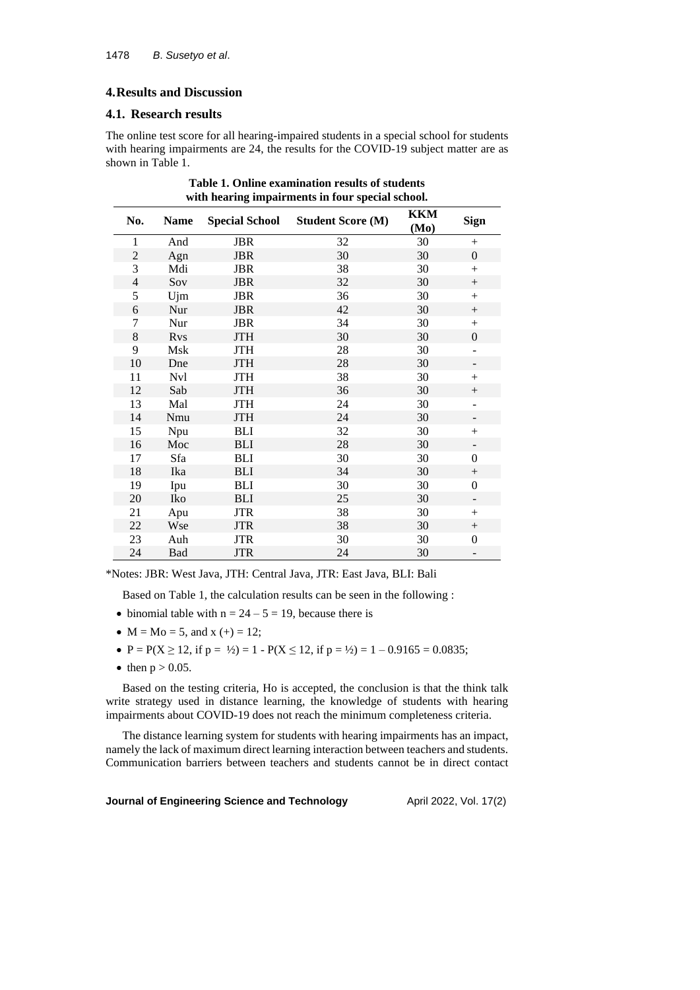## **4.Results and Discussion**

## **4.1. Research results**

The online test score for all hearing-impaired students in a special school for students with hearing impairments are 24, the results for the COVID-19 subject matter are as shown in Table 1.

| No.            | <b>Name</b>            | <b>Special School</b> | <b>Student Score (M)</b> | <b>KKM</b><br>(Mo) | <b>Sign</b>              |
|----------------|------------------------|-----------------------|--------------------------|--------------------|--------------------------|
| $\mathbf{1}$   | And                    | <b>JBR</b>            | 32                       | 30                 | $+$                      |
| $\overline{c}$ | Agn                    | <b>JBR</b>            | 30                       | 30                 | $\overline{0}$           |
| 3              | Mdi                    | <b>JBR</b>            | 38                       | 30                 | $+$                      |
| 4              | Sov                    | <b>JBR</b>            | 32                       | 30                 | $^{+}$                   |
| 5              | Ujm                    | <b>JBR</b>            | 36                       | 30                 | $+$                      |
| 6              | Nur                    | <b>JBR</b>            | 42                       | 30                 | $^{+}$                   |
| 7              | Nur                    | <b>JBR</b>            | 34                       | 30                 | $+$                      |
| 8              | <b>R</b> <sub>vs</sub> | <b>JTH</b>            | 30                       | 30                 | $\overline{0}$           |
| 9              | Msk                    | <b>JTH</b>            | 28                       | 30                 | $\overline{\phantom{a}}$ |
| 10             | Dne                    | <b>JTH</b>            | 28                       | 30                 | $\overline{\phantom{a}}$ |
| 11             | Nvl                    | <b>JTH</b>            | 38                       | 30                 | $^{+}$                   |
| 12             | Sab                    | <b>JTH</b>            | 36                       | 30                 | $^{+}$                   |
| 13             | Mal                    | <b>JTH</b>            | 24                       | 30                 |                          |
| 14             | Nmu                    | <b>JTH</b>            | 24                       | 30                 |                          |
| 15             | Npu                    | BLI                   | 32                       | 30                 | $^{+}$                   |
| 16             | Moc                    | <b>BLI</b>            | 28                       | 30                 | -                        |
| 17             | Sfa                    | <b>BLI</b>            | 30                       | 30                 | $\overline{0}$           |
| 18             | Ika                    | <b>BLI</b>            | 34                       | 30                 | $^{+}$                   |
| 19             | Ipu                    | BLI                   | 30                       | 30                 | $\overline{0}$           |
| 20             | Iko                    | <b>BLI</b>            | 25                       | 30                 |                          |
| 21             | Apu                    | <b>JTR</b>            | 38                       | 30                 | $^{+}$                   |
| 22             | Wse                    | <b>JTR</b>            | 38                       | 30                 |                          |
| 23             | Auh                    | <b>JTR</b>            | 30                       | 30                 | 0                        |
| 24             | Bad                    | <b>JTR</b>            | 24                       | 30                 |                          |

**Table 1. Online examination results of students with hearing impairments in four special school.**

\*Notes: JBR: West Java, JTH: Central Java, JTR: East Java, BLI: Bali

Based on Table 1, the calculation results can be seen in the following :

- binomial table with  $n = 24 5 = 19$ , because there is
- $M = Mo = 5$ , and  $x (+) = 12$ ;
- $P = P(X \ge 12$ , if  $p = \frac{1}{2} = 1 P(X \le 12)$ , if  $p = \frac{1}{2} = 1 0.9165 = 0.0835$ ;
- then  $p > 0.05$ .

Based on the testing criteria, Ho is accepted, the conclusion is that the think talk write strategy used in distance learning, the knowledge of students with hearing impairments about COVID-19 does not reach the minimum completeness criteria.

The distance learning system for students with hearing impairments has an impact, namely the lack of maximum direct learning interaction between teachers and students. Communication barriers between teachers and students cannot be in direct contact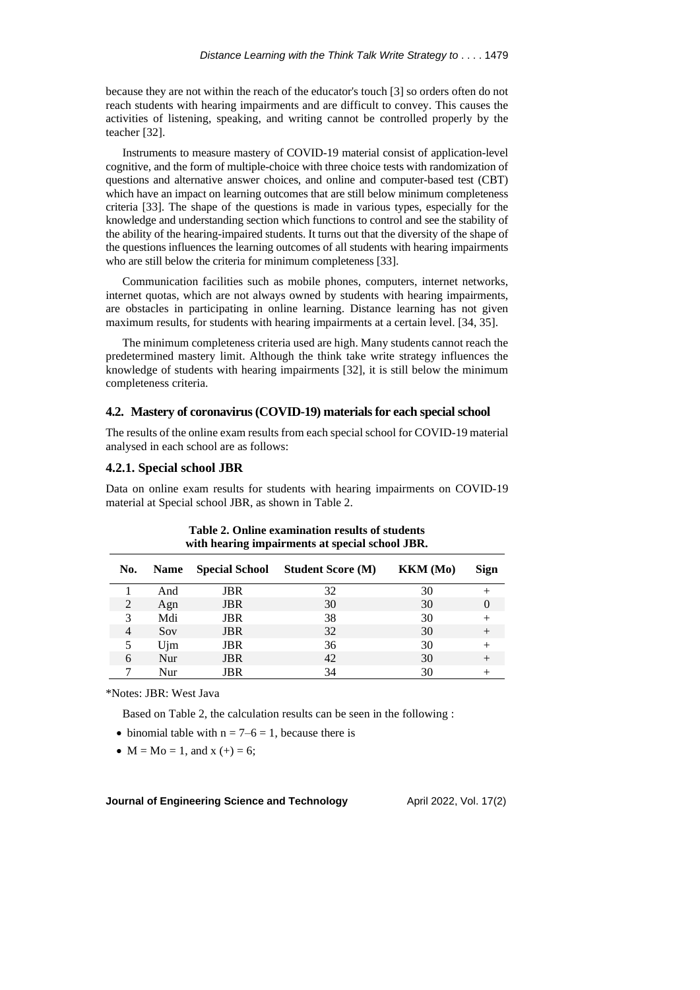because they are not within the reach of the educator's touch [3] so orders often do not reach students with hearing impairments and are difficult to convey. This causes the activities of listening, speaking, and writing cannot be controlled properly by the teacher [32].

Instruments to measure mastery of COVID-19 material consist of application-level cognitive, and the form of multiple-choice with three choice tests with randomization of questions and alternative answer choices, and online and computer-based test (CBT) which have an impact on learning outcomes that are still below minimum completeness criteria [33]. The shape of the questions is made in various types, especially for the knowledge and understanding section which functions to control and see the stability of the ability of the hearing-impaired students. It turns out that the diversity of the shape of the questions influences the learning outcomes of all students with hearing impairments who are still below the criteria for minimum completeness [33].

Communication facilities such as mobile phones, computers, internet networks, internet quotas, which are not always owned by students with hearing impairments, are obstacles in participating in online learning. Distance learning has not given maximum results, for students with hearing impairments at a certain level. [34, 35].

The minimum completeness criteria used are high. Many students cannot reach the predetermined mastery limit. Although the think take write strategy influences the knowledge of students with hearing impairments [32], it is still below the minimum completeness criteria.

## **4.2. Mastery of coronavirus(COVID-19) materialsfor each special school**

The results of the online exam results from each special school for COVID-19 material analysed in each school are as follows:

## **4.2.1. Special school JBR**

Data on online exam results for students with hearing impairments on COVID-19 material at Special school JBR, as shown in Table 2.

| No. | <b>Name</b> |            | Special School Student Score (M) | <b>KKM</b> (Mo) | <b>Sign</b> |
|-----|-------------|------------|----------------------------------|-----------------|-------------|
|     | And         | <b>JBR</b> | 32                               | 30              |             |
| 2   | Agn         | <b>JBR</b> | 30                               | 30              | $\theta$    |
| 3   | Mdi         | <b>JBR</b> | 38                               | 30              |             |
| 4   | Sov         | <b>JBR</b> | 32                               | 30              |             |
|     | Ujm         | <b>JBR</b> | 36                               | 30              |             |
| 6   | Nur         | <b>JBR</b> | 42                               | 30              |             |
|     | Nur         | JBR        | 34                               | 30              |             |

# **Table 2. Online examination results of students with hearing impairments at special school JBR.**

\*Notes: JBR: West Java

Based on Table 2, the calculation results can be seen in the following :

- binomial table with  $n = 7-6 = 1$ , because there is
- $M = Mo = 1$ , and  $x (+) = 6$ ;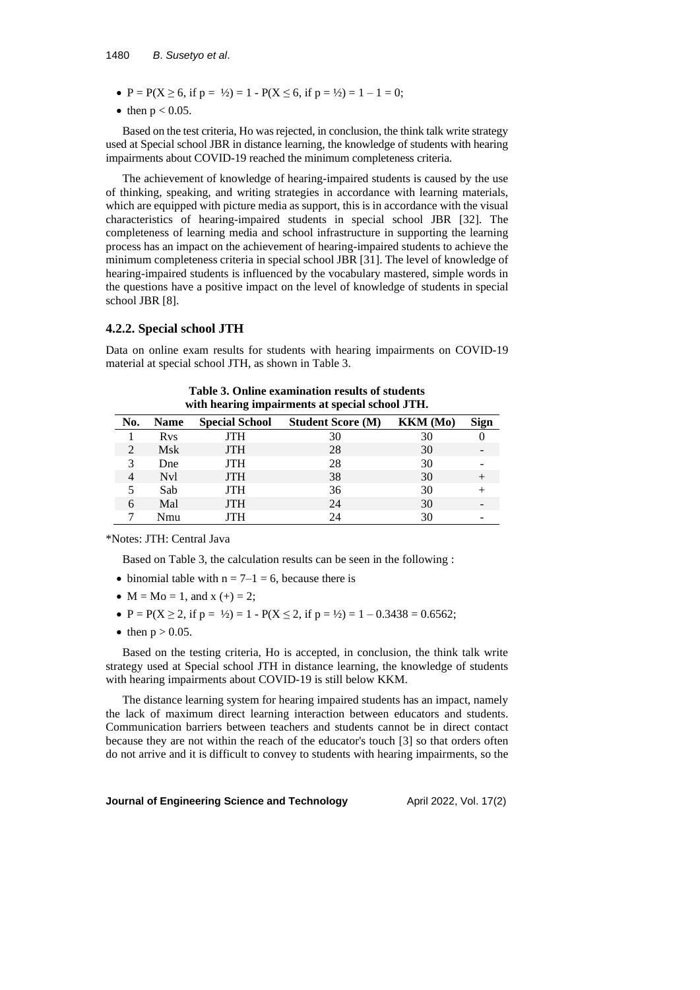#### 1480 *B*. *Susetyo et al*.

- $P = P(X \ge 6, \text{ if } p = \frac{1}{2}) = 1 P(X \le 6, \text{ if } p = \frac{1}{2}) = 1 1 = 0;$
- then  $p < 0.05$ .

Based on the test criteria, Ho wasrejected, in conclusion, the think talk write strategy used at Special school JBR in distance learning, the knowledge of students with hearing impairments about COVID-19 reached the minimum completeness criteria.

The achievement of knowledge of hearing-impaired students is caused by the use of thinking, speaking, and writing strategies in accordance with learning materials, which are equipped with picture media as support, this is in accordance with the visual characteristics of hearing-impaired students in special school JBR [32]. The completeness of learning media and school infrastructure in supporting the learning process has an impact on the achievement of hearing-impaired students to achieve the minimum completeness criteria in special school JBR [31]. The level of knowledge of hearing-impaired students is influenced by the vocabulary mastered, simple words in the questions have a positive impact on the level of knowledge of students in special school JBR [8].

## **4.2.2. Special school JTH**

Data on online exam results for students with hearing impairments on COVID-19 material at special school JTH, as shown in Table 3.

| Table 3. Online examination results of students |  |
|-------------------------------------------------|--|
| with hearing impairments at special school JTH. |  |

| No.            | <b>Name</b>            | <b>Special School</b> | <b>Student Score (M)</b> | <b>KKM</b> (Mo) | Sign |
|----------------|------------------------|-----------------------|--------------------------|-----------------|------|
|                | <b>R</b> <sub>vs</sub> | <b>JTH</b>            | 30                       | 30              |      |
|                | Msk                    | <b>JTH</b>            | 28                       | 30              |      |
|                | Dne                    | <b>JTH</b>            | 28                       | 30              |      |
| $\overline{4}$ | N <sub>v</sub> l       | <b>JTH</b>            | 38                       | 30              |      |
| 5              | Sab                    | <b>JTH</b>            | 36                       | 30              |      |
| 6              | Mal                    | <b>JTH</b>            | 24                       | 30              |      |
|                | Nmu                    | ITH                   | 24                       | 30              |      |

\*Notes: JTH: Central Java

Based on Table 3, the calculation results can be seen in the following :

- binomial table with  $n = 7-1 = 6$ , because there is
- $M = Mo = 1$ , and  $x (+) = 2$ ;
- $P = P(X \ge 2$ , if  $p = \frac{1}{2} = 1 P(X \le 2)$ , if  $p = \frac{1}{2} = 1 0.3438 = 0.6562$ ;
- then  $p > 0.05$ .

Based on the testing criteria, Ho is accepted, in conclusion, the think talk write strategy used at Special school JTH in distance learning, the knowledge of students with hearing impairments about COVID-19 is still below KKM.

The distance learning system for hearing impaired students has an impact, namely the lack of maximum direct learning interaction between educators and students. Communication barriers between teachers and students cannot be in direct contact because they are not within the reach of the educator's touch [3] so that orders often do not arrive and it is difficult to convey to students with hearing impairments, so the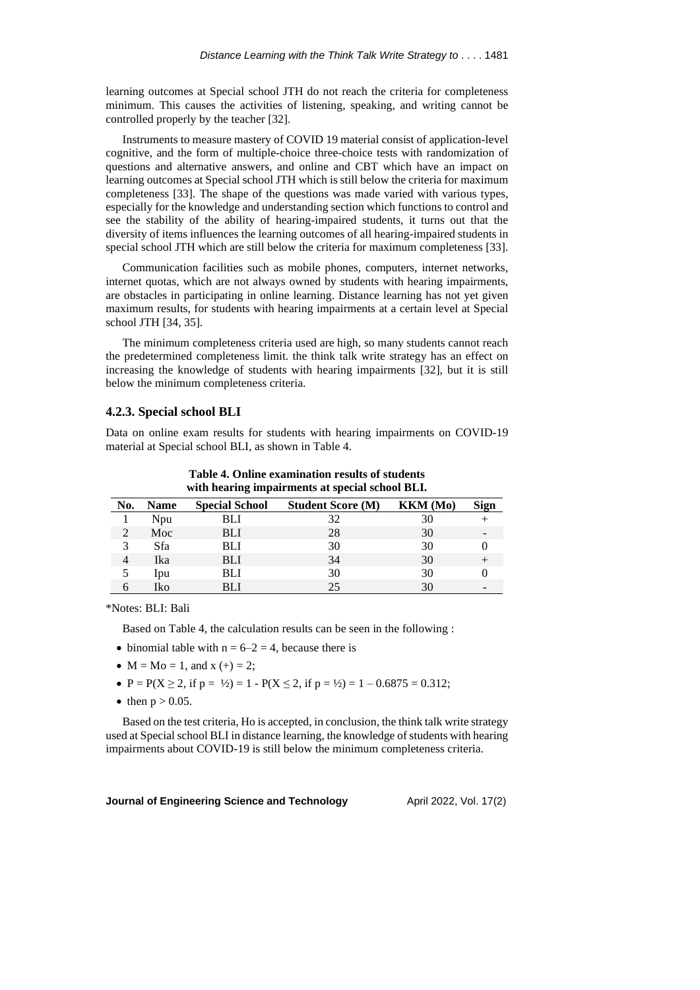learning outcomes at Special school JTH do not reach the criteria for completeness minimum. This causes the activities of listening, speaking, and writing cannot be controlled properly by the teacher [32].

Instruments to measure mastery of COVID 19 material consist of application-level cognitive, and the form of multiple-choice three-choice tests with randomization of questions and alternative answers, and online and CBT which have an impact on learning outcomes at Special school JTH which is still below the criteria for maximum completeness [33]. The shape of the questions was made varied with various types, especially for the knowledge and understanding section which functions to control and see the stability of the ability of hearing-impaired students, it turns out that the diversity of items influences the learning outcomes of all hearing-impaired students in special school JTH which are still below the criteria for maximum completeness [33].

Communication facilities such as mobile phones, computers, internet networks, internet quotas, which are not always owned by students with hearing impairments, are obstacles in participating in online learning. Distance learning has not yet given maximum results, for students with hearing impairments at a certain level at Special school JTH [34, 35].

The minimum completeness criteria used are high, so many students cannot reach the predetermined completeness limit. the think talk write strategy has an effect on increasing the knowledge of students with hearing impairments [32], but it is still below the minimum completeness criteria.

#### **4.2.3. Special school BLI**

Data on online exam results for students with hearing impairments on COVID-19 material at Special school BLI, as shown in Table 4.

| No. | <b>Name</b> | <b>Special School</b> | <b>Student Score (M)</b> | <b>KKM</b> (Mo) | Sign |
|-----|-------------|-----------------------|--------------------------|-----------------|------|
|     | Npu         | BLI                   | 32                       | 30              |      |
|     | Moc         | <b>BLI</b>            | 28                       | 30              |      |
| 3   | Sfa         | BLI                   | 30                       | 30              |      |
|     | Ika         | <b>BLI</b>            | 34                       | 30              |      |
|     | Ipu         | BLI                   | 30                       | 30              |      |
|     | Iko         | BLI                   | 25                       | 30              |      |

**Table 4. Online examination results of students with hearing impairments at special school BLI.**

\*Notes: BLI: Bali

Based on Table 4, the calculation results can be seen in the following :

- binomial table with  $n = 6-2 = 4$ , because there is
- $M = Mo = 1$ , and  $x (+) = 2$ ;
- $P = P(X \ge 2$ , if  $p = \frac{1}{2} = 1 P(X \le 2)$ , if  $p = \frac{1}{2} = 1 0.6875 = 0.312$ ;
- then  $p > 0.05$ .

Based on the test criteria, Ho is accepted, in conclusion, the think talk write strategy used at Special school BLI in distance learning, the knowledge of students with hearing impairments about COVID-19 is still below the minimum completeness criteria.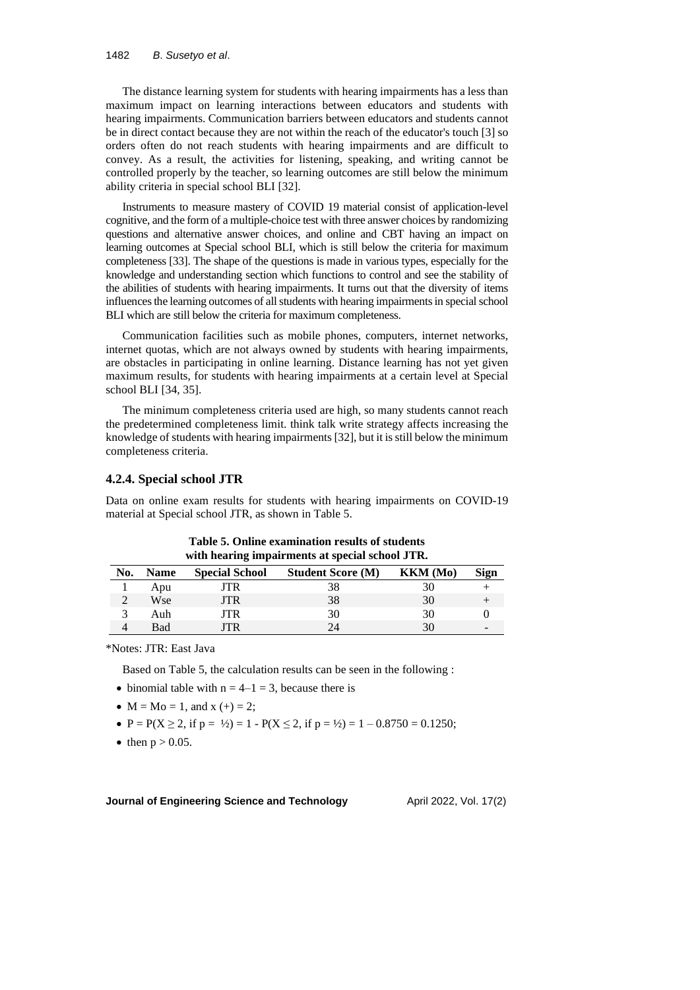#### 1482 *B*. *Susetyo et al*.

The distance learning system for students with hearing impairments has a less than maximum impact on learning interactions between educators and students with hearing impairments. Communication barriers between educators and students cannot be in direct contact because they are not within the reach of the educator's touch [3] so orders often do not reach students with hearing impairments and are difficult to convey. As a result, the activities for listening, speaking, and writing cannot be controlled properly by the teacher, so learning outcomes are still below the minimum ability criteria in special school BLI [32].

Instruments to measure mastery of COVID 19 material consist of application-level cognitive, and the form of a multiple-choice test with three answer choices by randomizing questions and alternative answer choices, and online and CBT having an impact on learning outcomes at Special school BLI, which is still below the criteria for maximum completeness [33]. The shape of the questions is made in various types, especially for the knowledge and understanding section which functions to control and see the stability of the abilities of students with hearing impairments. It turns out that the diversity of items influences the learning outcomes of all students with hearing impairments in special school BLI which are still below the criteria for maximum completeness.

Communication facilities such as mobile phones, computers, internet networks, internet quotas, which are not always owned by students with hearing impairments, are obstacles in participating in online learning. Distance learning has not yet given maximum results, for students with hearing impairments at a certain level at Special school BLI [34, 35].

The minimum completeness criteria used are high, so many students cannot reach the predetermined completeness limit. think talk write strategy affects increasing the knowledge of students with hearing impairments[32], but it isstill below the minimum completeness criteria.

#### **4.2.4. Special school JTR**

Data on online exam results for students with hearing impairments on COVID-19 material at Special school JTR, as shown in Table 5.

| with nearing impairments at special senoul 9 FR. |             |                       |                          |          |                          |  |
|--------------------------------------------------|-------------|-----------------------|--------------------------|----------|--------------------------|--|
| No.                                              | <b>Name</b> | <b>Special School</b> | <b>Student Score (M)</b> | KKM (Mo) | <b>Sign</b>              |  |
|                                                  | Apu         | JTR                   | 38                       | 30       |                          |  |
|                                                  | Wse         | JTR                   | 38                       | 30       |                          |  |
|                                                  | Auh         | JTR                   | 30                       | 30       |                          |  |
|                                                  | Bad         | TR                    |                          | 30       | $\overline{\phantom{a}}$ |  |

**Table 5. Online examination results of students with hearing impairments at special school JTR.**

\*Notes: JTR: East Java

Based on Table 5, the calculation results can be seen in the following :

- binomial table with  $n = 4-1 = 3$ , because there is
- $M = Mo = 1$ , and  $x (+) = 2$ ;
- $P = P(X \ge 2$ , if  $p = \frac{1}{2} = 1 P(X \le 2)$ , if  $p = \frac{1}{2} = 1 0.8750 = 0.1250$ ;
- then  $p > 0.05$ .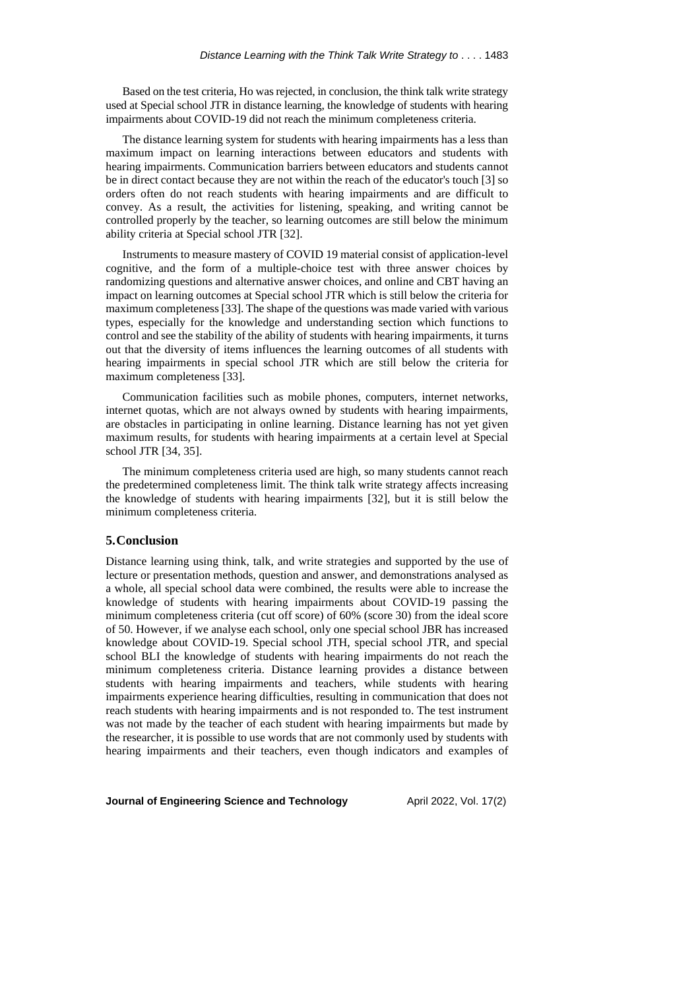Based on the test criteria, Ho was rejected, in conclusion, the think talk write strategy used at Special school JTR in distance learning, the knowledge of students with hearing impairments about COVID-19 did not reach the minimum completeness criteria.

The distance learning system for students with hearing impairments has a less than maximum impact on learning interactions between educators and students with hearing impairments. Communication barriers between educators and students cannot be in direct contact because they are not within the reach of the educator's touch [3] so orders often do not reach students with hearing impairments and are difficult to convey. As a result, the activities for listening, speaking, and writing cannot be controlled properly by the teacher, so learning outcomes are still below the minimum ability criteria at Special school JTR [32].

Instruments to measure mastery of COVID 19 material consist of application-level cognitive, and the form of a multiple-choice test with three answer choices by randomizing questions and alternative answer choices, and online and CBT having an impact on learning outcomes at Special school JTR which is still below the criteria for maximum completeness[33]. The shape of the questions was made varied with various types, especially for the knowledge and understanding section which functions to control and see the stability of the ability of students with hearing impairments, it turns out that the diversity of items influences the learning outcomes of all students with hearing impairments in special school JTR which are still below the criteria for maximum completeness [33].

Communication facilities such as mobile phones, computers, internet networks, internet quotas, which are not always owned by students with hearing impairments, are obstacles in participating in online learning. Distance learning has not yet given maximum results, for students with hearing impairments at a certain level at Special school JTR [34, 35].

The minimum completeness criteria used are high, so many students cannot reach the predetermined completeness limit. The think talk write strategy affects increasing the knowledge of students with hearing impairments [32], but it is still below the minimum completeness criteria.

## **5.Conclusion**

Distance learning using think, talk, and write strategies and supported by the use of lecture or presentation methods, question and answer, and demonstrations analysed as a whole, all special school data were combined, the results were able to increase the knowledge of students with hearing impairments about COVID-19 passing the minimum completeness criteria (cut off score) of 60% (score 30) from the ideal score of 50. However, if we analyse each school, only one special school JBR has increased knowledge about COVID-19. Special school JTH, special school JTR, and special school BLI the knowledge of students with hearing impairments do not reach the minimum completeness criteria. Distance learning provides a distance between students with hearing impairments and teachers, while students with hearing impairments experience hearing difficulties, resulting in communication that does not reach students with hearing impairments and is not responded to. The test instrument was not made by the teacher of each student with hearing impairments but made by the researcher, it is possible to use words that are not commonly used by students with hearing impairments and their teachers, even though indicators and examples of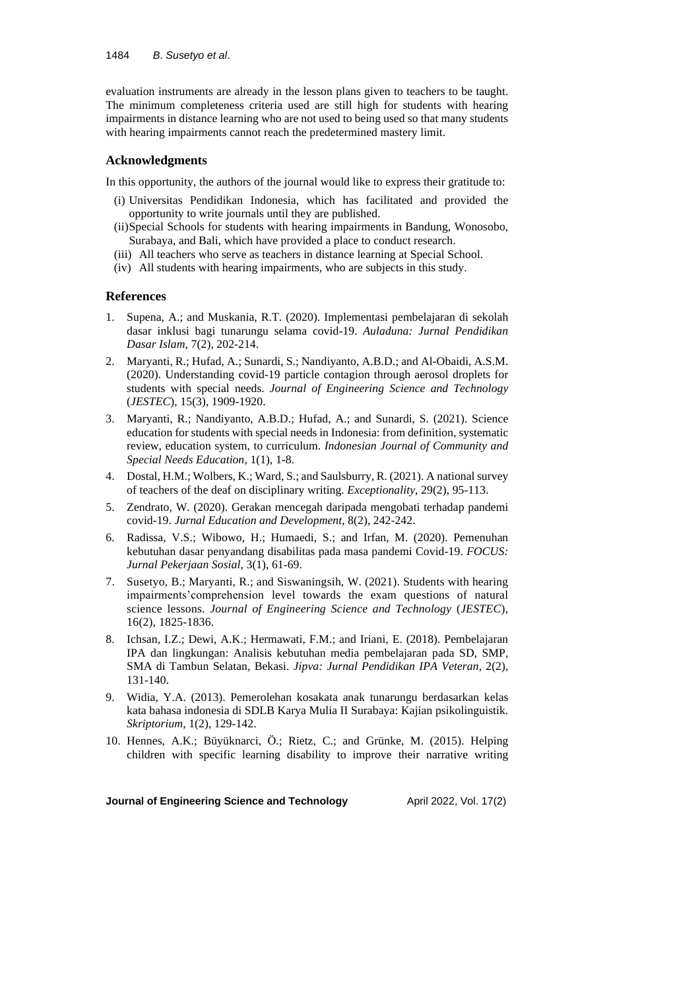evaluation instruments are already in the lesson plans given to teachers to be taught. The minimum completeness criteria used are still high for students with hearing impairments in distance learning who are not used to being used so that many students with hearing impairments cannot reach the predetermined mastery limit.

## **Acknowledgments**

In this opportunity, the authors of the journal would like to express their gratitude to:

- (i) Universitas Pendidikan Indonesia, which has facilitated and provided the opportunity to write journals until they are published.
- (ii)Special Schools for students with hearing impairments in Bandung, Wonosobo, Surabaya, and Bali, which have provided a place to conduct research.
- (iii) All teachers who serve as teachers in distance learning at Special School.
- (iv) All students with hearing impairments, who are subjects in this study.

## **References**

- 1. Supena, A.; and Muskania, R.T. (2020). Implementasi pembelajaran di sekolah dasar inklusi bagi tunarungu selama covid-19. *Auladuna: Jurnal Pendidikan Dasar Islam*, 7(2), 202-214.
- 2. Maryanti, R.; Hufad, A.; Sunardi, S.; Nandiyanto, A.B.D.; and Al-Obaidi, A.S.M. (2020). Understanding covid-19 particle contagion through aerosol droplets for students with special needs. *Journal of Engineering Science and Technology* (*JESTEC*), 15(3), 1909-1920.
- 3. Maryanti, R.; Nandiyanto, A.B.D.; Hufad, A.; and Sunardi, S. (2021). Science education for students with special needs in Indonesia: from definition, systematic review, education system, to curriculum. *Indonesian Journal of Community and Special Needs Education*, 1(1), 1-8.
- 4. Dostal, H.M.; Wolbers, K.; Ward, S.; and Saulsburry, R. (2021). A national survey of teachers of the deaf on disciplinary writing. *Exceptionality*, 29(2), 95-113.
- 5. Zendrato, W. (2020). Gerakan mencegah daripada mengobati terhadap pandemi covid-19. *Jurnal Education and Development*, 8(2), 242-242.
- 6. Radissa, V.S.; Wibowo, H.; Humaedi, S.; and Irfan, M. (2020). Pemenuhan kebutuhan dasar penyandang disabilitas pada masa pandemi Covid-19. *FOCUS: Jurnal Pekerjaan Sosial*, 3(1), 61-69.
- 7. Susetyo, B.; Maryanti, R.; and Siswaningsih, W. (2021). Students with hearing impairments'comprehension level towards the exam questions of natural science lessons. *Journal of Engineering Science and Technology* (*JESTEC*), 16(2), 1825-1836.
- 8. Ichsan, I.Z.; Dewi, A.K.; Hermawati, F.M.; and Iriani, E. (2018). Pembelajaran IPA dan lingkungan: Analisis kebutuhan media pembelajaran pada SD, SMP, SMA di Tambun Selatan, Bekasi. *Jipva: Jurnal Pendidikan IPA Veteran*, 2(2), 131-140.
- 9. Widia, Y.A. (2013). Pemerolehan kosakata anak tunarungu berdasarkan kelas kata bahasa indonesia di SDLB Karya Mulia II Surabaya: Kajian psikolinguistik. *Skriptorium*, 1(2), 129-142.
- 10. Hennes, A.K.; Büyüknarci, Ö.; Rietz, C.; and Grünke, M. (2015). Helping children with specific learning disability to improve their narrative writing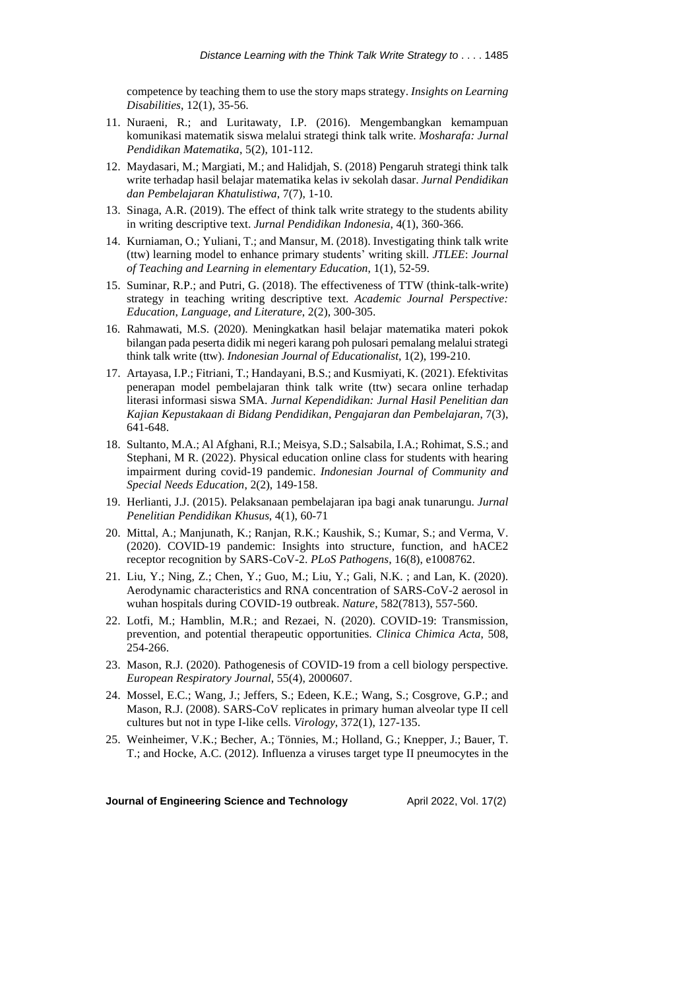competence by teaching them to use the story maps strategy. *Insights on Learning Disabilities*, 12(1), 35-56.

- 11. Nuraeni, R.; and Luritawaty, I.P. (2016). Mengembangkan kemampuan komunikasi matematik siswa melalui strategi think talk write. *Mosharafa: Jurnal Pendidikan Matematika*, 5(2), 101-112.
- 12. Maydasari, M.; Margiati, M.; and Halidjah, S. (2018) Pengaruh strategi think talk write terhadap hasil belajar matematika kelas iv sekolah dasar. *Jurnal Pendidikan dan Pembelajaran Khatulistiwa*, 7(7), 1-10.
- 13. Sinaga, A.R. (2019). The effect of think talk write strategy to the students ability in writing descriptive text. *Jurnal Pendidikan Indonesia*, 4(1), 360-366.
- 14. Kurniaman, O.; Yuliani, T.; and Mansur, M. (2018). Investigating think talk write (ttw) learning model to enhance primary students' writing skill. *JTLEE*: *Journal of Teaching and Learning in elementary Education*, 1(1), 52-59.
- 15. Suminar, R.P.; and Putri, G. (2018). The effectiveness of TTW (think-talk-write) strategy in teaching writing descriptive text. *Academic Journal Perspective: Education*, *Language*, *and Literature*, 2(2), 300-305.
- 16. Rahmawati, M.S. (2020). Meningkatkan hasil belajar matematika materi pokok bilangan pada peserta didik mi negeri karang poh pulosari pemalang melaluistrategi think talk write (ttw). *Indonesian Journal of Educationalist*, 1(2), 199-210.
- 17. Artayasa, I.P.; Fitriani, T.; Handayani, B.S.; and Kusmiyati, K. (2021). Efektivitas penerapan model pembelajaran think talk write (ttw) secara online terhadap literasi informasi siswa SMA. *Jurnal Kependidikan: Jurnal Hasil Penelitian dan Kajian Kepustakaan di Bidang Pendidikan*, *Pengajaran dan Pembelajaran*, 7(3), 641-648.
- 18. Sultanto, M.A.; Al Afghani, R.I.; Meisya, S.D.; Salsabila, I.A.; Rohimat, S.S.; and Stephani, M R. (2022). Physical education online class for students with hearing impairment during covid-19 pandemic. *Indonesian Journal of Community and Special Needs Education*, 2(2), 149-158.
- 19. Herlianti, J.J. (2015). Pelaksanaan pembelajaran ipa bagi anak tunarungu. *Jurnal Penelitian Pendidikan Khusus*, 4(1), 60-71
- 20. Mittal, A.; Manjunath, K.; Ranjan, R.K.; Kaushik, S.; Kumar, S.; and Verma, V. (2020). COVID-19 pandemic: Insights into structure, function, and hACE2 receptor recognition by SARS-CoV-2. *PLoS Pathogens*, 16(8), e1008762.
- 21. Liu, Y.; Ning, Z.; Chen, Y.; Guo, M.; Liu, Y.; Gali, N.K. ; and Lan, K. (2020). Aerodynamic characteristics and RNA concentration of SARS-CoV-2 aerosol in wuhan hospitals during COVID-19 outbreak. *Nature*, 582(7813), 557-560.
- 22. Lotfi, M.; Hamblin, M.R.; and Rezaei, N. (2020). COVID-19: Transmission, prevention, and potential therapeutic opportunities. *Clinica Chimica Acta*, 508, 254-266.
- 23. Mason, R.J. (2020). Pathogenesis of COVID-19 from a cell biology perspective. *European Respiratory Journal*, 55(4), 2000607.
- 24. Mossel, E.C.; Wang, J.; Jeffers, S.; Edeen, K.E.; Wang, S.; Cosgrove, G.P.; and Mason, R.J. (2008). SARS-CoV replicates in primary human alveolar type II cell cultures but not in type I-like cells. *Virology*, 372(1), 127-135.
- 25. Weinheimer, V.K.; Becher, A.; Tönnies, M.; Holland, G.; Knepper, J.; Bauer, T. T.; and Hocke, A.C. (2012). Influenza a viruses target type II pneumocytes in the